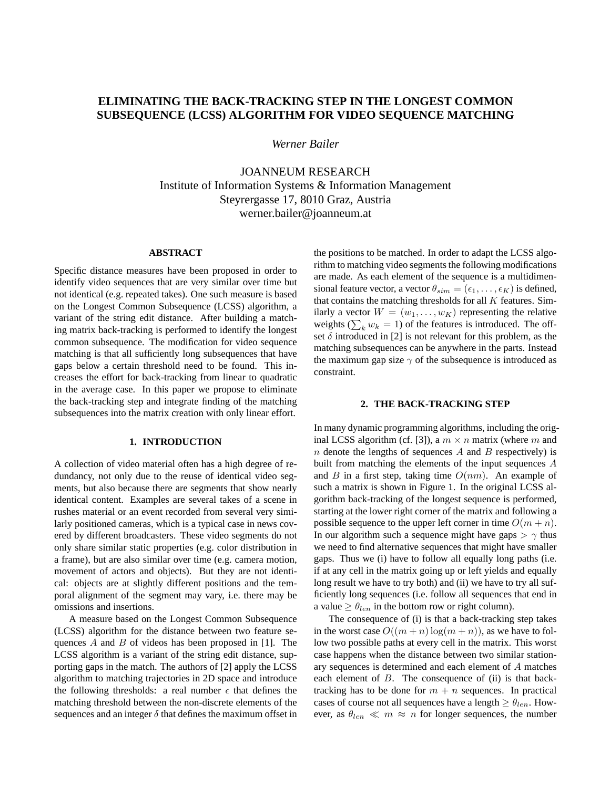# **ELIMINATING THE BACK-TRACKING STEP IN THE LONGEST COMMON SUBSEQUENCE (LCSS) ALGORITHM FOR VIDEO SEQUENCE MATCHING**

*Werner Bailer*

JOANNEUM RESEARCH Institute of Information Systems & Information Management Steyrergasse 17, 8010 Graz, Austria werner.bailer@joanneum.at

# **ABSTRACT**

Specific distance measures have been proposed in order to identify video sequences that are very similar over time but not identical (e.g. repeated takes). One such measure is based on the Longest Common Subsequence (LCSS) algorithm, a variant of the string edit distance. After building a matching matrix back-tracking is performed to identify the longest common subsequence. The modification for video sequence matching is that all sufficiently long subsequences that have gaps below a certain threshold need to be found. This increases the effort for back-tracking from linear to quadratic in the average case. In this paper we propose to eliminate the back-tracking step and integrate finding of the matching subsequences into the matrix creation with only linear effort.

## **1. INTRODUCTION**

A collection of video material often has a high degree of redundancy, not only due to the reuse of identical video segments, but also because there are segments that show nearly identical content. Examples are several takes of a scene in rushes material or an event recorded from several very similarly positioned cameras, which is a typical case in news covered by different broadcasters. These video segments do not only share similar static properties (e.g. color distribution in a frame), but are also similar over time (e.g. camera motion, movement of actors and objects). But they are not identical: objects are at slightly different positions and the temporal alignment of the segment may vary, i.e. there may be omissions and insertions.

A measure based on the Longest Common Subsequence (LCSS) algorithm for the distance between two feature sequences A and B of videos has been proposed in [1]. The LCSS algorithm is a variant of the string edit distance, supporting gaps in the match. The authors of [2] apply the LCSS algorithm to matching trajectories in 2D space and introduce the following thresholds: a real number  $\epsilon$  that defines the matching threshold between the non-discrete elements of the sequences and an integer  $\delta$  that defines the maximum offset in

the positions to be matched. In order to adapt the LCSS algorithm to matching video segments the following modifications are made. As each element of the sequence is a multidimensional feature vector, a vector  $\theta_{sim} = (\epsilon_1, \dots, \epsilon_K)$  is defined, that contains the matching thresholds for all  $K$  features. Similarly a vector  $W = (w_1, \dots, w_K)$  representing the relative weights ( $\sum_k w_k = 1$ ) of the features is introduced. The offset  $\delta$  introduced in [2] is not relevant for this problem, as the matching subsequences can be anywhere in the parts. Instead the maximum gap size  $\gamma$  of the subsequence is introduced as constraint.

#### **2. THE BACK-TRACKING STEP**

In many dynamic programming algorithms, including the original LCSS algorithm (cf. [3]), a  $m \times n$  matrix (where m and n denote the lengths of sequences  $A$  and  $B$  respectively) is built from matching the elements of the input sequences A and B in a first step, taking time  $O(nm)$ . An example of such a matrix is shown in Figure 1. In the original LCSS algorithm back-tracking of the longest sequence is performed, starting at the lower right corner of the matrix and following a possible sequence to the upper left corner in time  $O(m + n)$ . In our algorithm such a sequence might have gaps  $> \gamma$  thus we need to find alternative sequences that might have smaller gaps. Thus we (i) have to follow all equally long paths (i.e. if at any cell in the matrix going up or left yields and equally long result we have to try both) and (ii) we have to try all sufficiently long sequences (i.e. follow all sequences that end in a value  $\geq \theta_{len}$  in the bottom row or right column).

The consequence of (i) is that a back-tracking step takes in the worst case  $O((m + n) \log(m + n))$ , as we have to follow two possible paths at every cell in the matrix. This worst case happens when the distance between two similar stationary sequences is determined and each element of A matches each element of  $B$ . The consequence of (ii) is that backtracking has to be done for  $m + n$  sequences. In practical cases of course not all sequences have a length  $\geq \theta_{len}$ . However, as  $\theta_{len} \ll m \approx n$  for longer sequences, the number